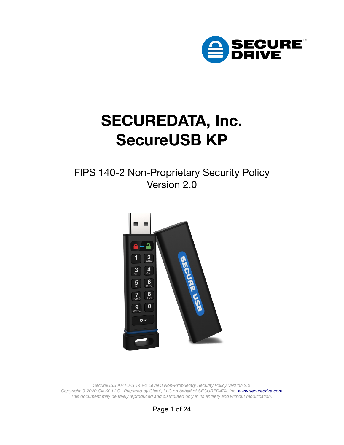

# **SECUREDATA, Inc. SecureUSB KP**

FIPS 140-2 Non-Proprietary Security Policy Version 2.0



*SecureUSB KP FIPS 140-2 Level 3 Non-Proprietary Security Policy Version 2.0 Copyright © 2020 ClevX, LLC. Prepared by ClevX, LLC on behalf of SECUREDATA, Inc. [www.securedrive.com](https://www.securedrive.com/) This document may be freely reproduced and distributed only in its entirety and without modification.*

Page 1 of 24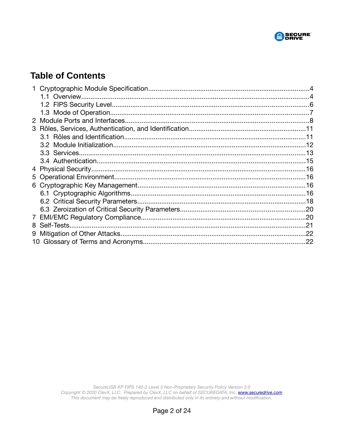

#### **Table of Contents**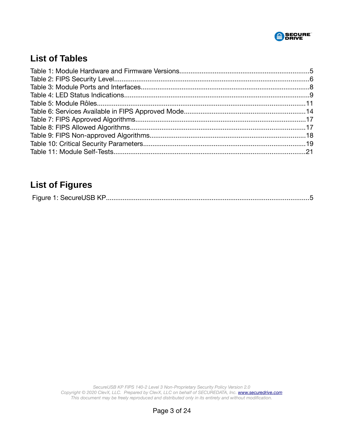

#### **List of Tables**

## **List of Figures**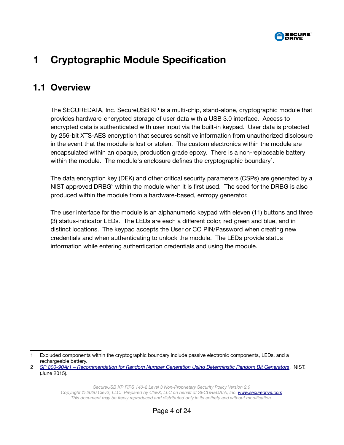

## <span id="page-3-1"></span> **1 Cryptographic Module Specification**

#### <span id="page-3-0"></span> **1.1 Overview**

The SECUREDATA, Inc. SecureUSB KP is a multi-chip, stand-alone, cryptographic module that provides hardware-encrypted storage of user data with a USB 3.0 interface. Access to encrypted data is authenticated with user input via the built-in keypad. User data is protected by 256-bit XTS-AES encryption that secures sensitive information from unauthorized disclosure in the event that the module is lost or stolen. The custom electronics within the module are encapsulated within an opaque, production grade epoxy. There is a non-replaceable battery within the module. The module's enclosure defines the cryptographic boundary<sup>[1](#page-3-2)</sup>.

The data encryption key (DEK) and other critical security parameters (CSPs) are generated by a NIST approved DRBG<sup>[2](#page-3-3)</sup> within the module when it is first used. The seed for the DRBG is also produced within the module from a hardware-based, entropy generator.

The user interface for the module is an alphanumeric keypad with eleven (11) buttons and three (3) status-indicator LEDs. The LEDs are each a different color, red green and blue, and in distinct locations. The keypad accepts the User or CO PIN/Password when creating new credentials and when authenticating to unlock the module. The LEDs provide status information while entering authentication credentials and using the module.

*SecureUSB KP FIPS 140-2 Level 3 Non-Proprietary Security Policy Version 2.0*

<span id="page-3-2"></span><sup>1</sup> Excluded components within the cryptographic boundary include passive electronic components, LEDs, and a rechargeable battery.

<span id="page-3-3"></span><sup>2</sup> *[SP 800-90Ar1 – Recommendation for Random Number Generation Using Determinstic Random Bit Generators](https://csrc.nist.gov/publications/detail/sp/800-90a/rev-1/final)*. NIST. (June 2015).

Copyright © 2020 ClevX, LLC. Prepared by ClevX, LLC on behalf of SECUREDATA, Inc. **[www.securedrive.com](https://www.securedrive.com/)** *This document may be freely reproduced and distributed only in its entirety and without modification.*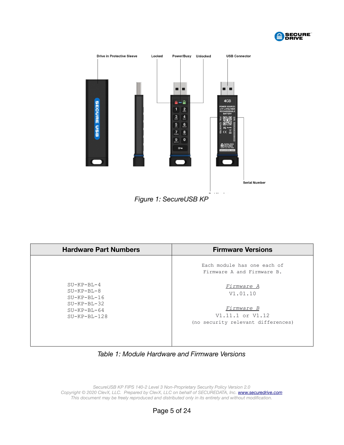



<span id="page-4-0"></span>*Figure 1: SecureUSB KP*

| <b>Hardware Part Numbers</b>                       | <b>Firmware Versions</b>                                                    |
|----------------------------------------------------|-----------------------------------------------------------------------------|
|                                                    | Each module has one each of<br>Firmware A and Firmware B.                   |
| $SU$ -KP-BL-4<br>$SU-KP-BL-8$<br>$SU$ -KP-BL-16    | <i>Firmware</i> A<br>V1.01.10                                               |
| $SU$ -KP-BL-32<br>$SU-KP-BL-64$<br>$SU$ -KP-BL-128 | <i>Firmware B</i><br>V1.11.1 or V1.12<br>(no security relevant differences) |
|                                                    |                                                                             |

#### *Table 1: Module Hardware and Firmware Versions*

*SecureUSB KP FIPS 140-2 Level 3 Non-Proprietary Security Policy Version 2.0 Copyright © 2020 ClevX, LLC. Prepared by ClevX, LLC on behalf of SECUREDATA, Inc. [www.securedrive.com](https://www.securedrive.com/) This document may be freely reproduced and distributed only in its entirety and without modification.*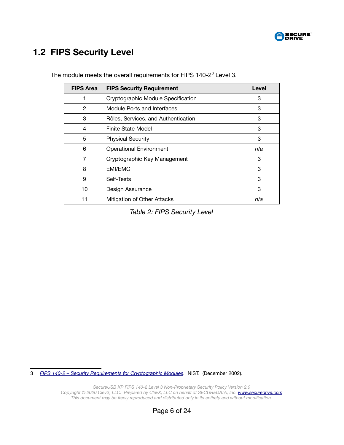

#### <span id="page-5-0"></span> **1.2 FIPS Security Level**

| <b>FIPS Area</b> | <b>FIPS Security Requirement</b>    | Level |
|------------------|-------------------------------------|-------|
|                  | Cryptographic Module Specification  | 3     |
| 2                | Module Ports and Interfaces         | 3     |
| 3                | Rôles, Services, and Authentication | 3     |
| 4                | Finite State Model                  | 3     |
| 5                | <b>Physical Security</b>            | 3     |
| 6                | <b>Operational Environment</b>      | n/a   |
| 7                | Cryptographic Key Management        | 3     |
| 8                | EMI/EMC                             | 3     |
| 9                | Self-Tests                          | 3     |
| 10               | Design Assurance                    | 3     |
| 11               | Mitigation of Other Attacks         | n/a   |

The module meets the overall requirements for FIPS 140-2<sup>[3](#page-5-1)</sup> Level 3.

*Table 2: FIPS Security Level*

<span id="page-5-1"></span>3 *[FIPS 140-2 – Security Requirements for Cryptographic Modules.](https://csrc.nist.gov/publications/detail/fips/140/2/final)* NIST. (December 2002).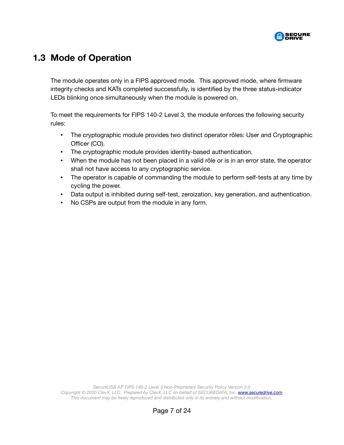

#### <span id="page-6-0"></span> **1.3 Mode of Operation**

The module operates only in a FIPS approved mode. This approved mode, where firmware integrity checks and KATs completed successfully, is identified by the three status-indicator LEDs blinking once simultaneously when the module is powered on.

To meet the requirements for FIPS 140-2 Level 3, the module enforces the following security rules:

- The cryptographic module provides two distinct operator rôles: User and Cryptographic Officer (CO).
- The cryptographic module provides identity-based authentication.
- When the module has not been placed in a valid rôle or is in an error state, the operator shall not have access to any cryptographic service.
- The operator is capable of commanding the module to perform self-tests at any time by cycling the power.
- Data output is inhibited during self-test, zeroization, key generation, and authentication.
- No CSPs are output from the module in any form.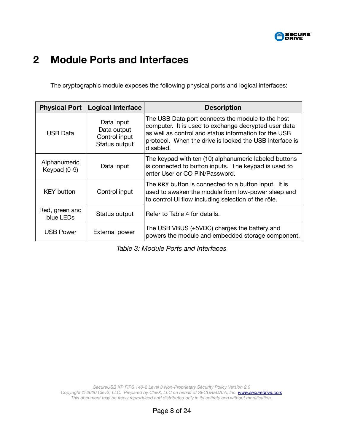

## <span id="page-7-0"></span> **2 Module Ports and Interfaces**

The cryptographic module exposes the following physical ports and logical interfaces:

| <b>Physical Port</b>                       | <b>Logical Interface</b>                                    | <b>Description</b>                                                                                                                                                                                                                         |  |  |
|--------------------------------------------|-------------------------------------------------------------|--------------------------------------------------------------------------------------------------------------------------------------------------------------------------------------------------------------------------------------------|--|--|
| <b>USB Data</b>                            | Data input<br>Data output<br>Control input<br>Status output | The USB Data port connects the module to the host<br>computer. It is used to exchange decrypted user data<br>as well as control and status information for the USB<br>protocol. When the drive is locked the USB interface is<br>disabled. |  |  |
| Alphanumeric<br>Data input<br>Keypad (0-9) |                                                             | The keypad with ten (10) alphanumeric labeled buttons<br>is connected to button inputs. The keypad is used to<br>enter User or CO PIN/Password.                                                                                            |  |  |
| <b>KEY button</b>                          | Control input                                               | The KEY button is connected to a button input. It is<br>used to awaken the module from low-power sleep and<br>to control UI flow including selection of the rôle.                                                                          |  |  |
| Red, green and<br>blue LEDs                | Status output                                               | Refer to Table 4 for details.                                                                                                                                                                                                              |  |  |
| USB Power                                  | <b>External power</b>                                       | The USB VBUS (+5VDC) charges the battery and<br>powers the module and embedded storage component.                                                                                                                                          |  |  |

*Table 3: Module Ports and Interfaces*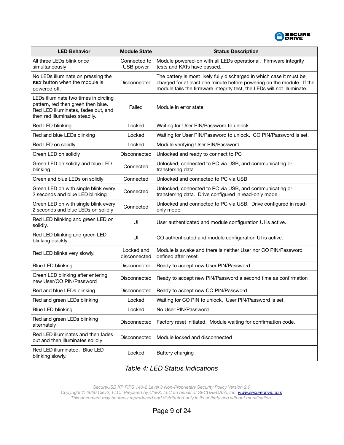

| <b>LED Behavior</b>                                                                                                                                  | <b>Module State</b>        | <b>Status Description</b>                                                                                                                                                                                               |
|------------------------------------------------------------------------------------------------------------------------------------------------------|----------------------------|-------------------------------------------------------------------------------------------------------------------------------------------------------------------------------------------------------------------------|
| All three LEDs blink once<br>simultaneously                                                                                                          | Connected to<br>USB power  | Module powered-on with all LEDs operational. Firmware integrity<br>tests and KATs have passed.                                                                                                                          |
| No LEDs illuminate on pressing the<br><b>KEY</b> button when the module is<br>powered off.                                                           | Disconnected               | The battery is most likely fully discharged in which case it must be<br>charged for at least one minute before powering on the module If the<br>module fails the firmware integrity test, the LEDs will not illuminate. |
| LEDs illuminate two times in circling<br>pattern, red then green then blue.<br>Red LED illuminates, fades out, and<br>then red illuminates steadily. | Failed                     | Module in error state.                                                                                                                                                                                                  |
| Red LED blinking                                                                                                                                     | Locked                     | Waiting for User PIN/Password to unlock                                                                                                                                                                                 |
| Red and blue LEDs blinking                                                                                                                           | Locked                     | Waiting for User PIN/Password to unlock. CO PIN/Password is set.                                                                                                                                                        |
| Red LED on solidly                                                                                                                                   | Locked                     | Module verifying User PIN/Password                                                                                                                                                                                      |
| Green LED on solidly                                                                                                                                 | Disconnected               | Unlocked and ready to connect to PC                                                                                                                                                                                     |
| Green LED on solidly and blue LED<br>blinking                                                                                                        | Connected                  | Unlocked, connected to PC via USB, and communicating or<br>transferring data                                                                                                                                            |
| Green and blue LEDs on solidly                                                                                                                       | Connected                  | Unlocked and connected to PC via USB                                                                                                                                                                                    |
| Green LED on with single blink every<br>2 seconds and blue LED blinking                                                                              | Connected                  | Unlocked, connected to PC via USB, and communicating or<br>transferring data. Drive configured in read-only mode                                                                                                        |
| Green LED on with single blink every<br>2 seconds and blue LEDs on solidly                                                                           | Connected                  | Unlocked and connected to PC via USB. Drive configured in read-<br>only mode.                                                                                                                                           |
| Red LED blinking and green LED on<br>solidly.                                                                                                        | UI                         | User authenticated and module configuration UI is active.                                                                                                                                                               |
| Red LED blinking and green LED<br>blinking quickly.                                                                                                  | UI                         | CO authenticated and module configuration UI is active.                                                                                                                                                                 |
| Red LED blinks very slowly.                                                                                                                          | Locked and<br>disconnected | Module is awake and there is neither User nor CO PIN/Password<br>defined after reset.                                                                                                                                   |
| Blue LED blinking                                                                                                                                    | Disconnected               | Ready to accept new User PIN/Password                                                                                                                                                                                   |
| Green LED blinking after entering<br>new User/CO PIN/Password                                                                                        | Disconnected               | Ready to accept new PIN/Password a second time as confirmation                                                                                                                                                          |
| Red and blue LEDs blinking                                                                                                                           | Disconnected               | Ready to accept new CO PIN/Password                                                                                                                                                                                     |
| Red and green LEDs blinking                                                                                                                          | Locked                     | Waiting for CO PIN to unlock. User PIN/Password is set.                                                                                                                                                                 |
| Blue LED blinking                                                                                                                                    | Locked                     | No User PIN/Password                                                                                                                                                                                                    |
| Red and green LEDs blinking<br>alternately                                                                                                           | Disconnected               | Factory reset initiated. Module waiting for confirmation code.                                                                                                                                                          |
| Red LED illuminates and then fades<br>out and then illuminates solidly                                                                               | Disconnected               | Module locked and disconnected                                                                                                                                                                                          |
| Red LED illuminated. Blue LED<br>blinking slowly.                                                                                                    | Locked                     | Battery charging                                                                                                                                                                                                        |

#### <span id="page-8-0"></span>*Table 4: LED Status Indications*

*SecureUSB KP FIPS 140-2 Level 3 Non-Proprietary Security Policy Version 2.0* Copyright © 2020 ClevX, LLC. Prepared by ClevX, LLC on behalf of SECUREDATA, Inc. **[www.securedrive.com](https://www.securedrive.com/)** 

*This document may be freely reproduced and distributed only in its entirety and without modification.*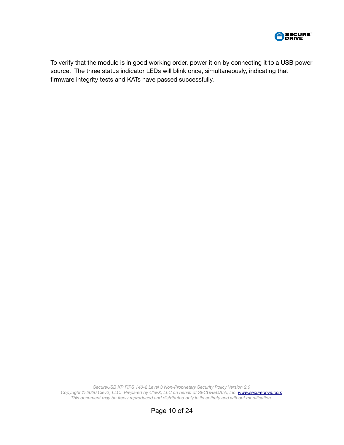

To verify that the module is in good working order, power it on by connecting it to a USB power source. The three status indicator LEDs will blink once, simultaneously, indicating that firmware integrity tests and KATs have passed successfully.

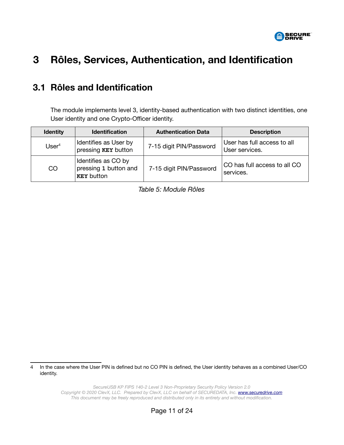

# <span id="page-10-1"></span> **3 Rôles, Services, Authentication, and Identification**

#### <span id="page-10-0"></span> **3.1 Rôles and Identification**

The module implements level 3, identity-based authentication with two distinct identities, one User identity and one Crypto-Officer identity.

| <b>Identity</b>                                                                    | <b>Identification</b>                               | <b>Authentication Data</b> | <b>Description</b>                            |
|------------------------------------------------------------------------------------|-----------------------------------------------------|----------------------------|-----------------------------------------------|
| User <sup>4</sup>                                                                  | Identifies as User by<br>pressing <b>KEY</b> button | 7-15 digit PIN/Password    | User has full access to all<br>User services. |
| Identifies as CO by<br>pressing 1 button and<br><sub>CO</sub><br><b>KEY button</b> |                                                     | 7-15 digit PIN/Password    | CO has full access to all CO<br>services.     |

*Table 5: Module Rôles*

<span id="page-10-2"></span>4 In the case where the User PIN is defined but no CO PIN is defined, the User identity behaves as a combined User/CO identity.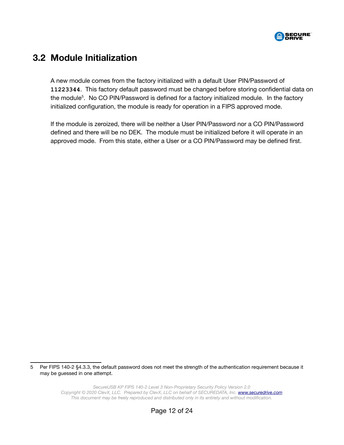

#### <span id="page-11-0"></span> **3.2 Module Initialization**

A new module comes from the factory initialized with a default User PIN/Password of **11223344**. This factory default password must be changed before storing confidential data on the module<sup>[5](#page-11-1)</sup>. No CO PIN/Password is defined for a factory initialized module. In the factory initialized configuration, the module is ready for operation in a FIPS approved mode.

If the module is zeroized, there will be neither a User PIN/Password nor a CO PIN/Password defined and there will be no DEK. The module must be initialized before it will operate in an approved mode. From this state, either a User or a CO PIN/Password may be defined first.

<span id="page-11-1"></span><sup>5</sup> Per FIPS 140-2 §4.3.3, the default password does not meet the strength of the authentication requirement because it may be guessed in one attempt.

*SecureUSB KP FIPS 140-2 Level 3 Non-Proprietary Security Policy Version 2.0 Copyright © 2020 ClevX, LLC. Prepared by ClevX, LLC on behalf of SECUREDATA, Inc. [www.securedrive.com](https://www.securedrive.com/) This document may be freely reproduced and distributed only in its entirety and without modification.*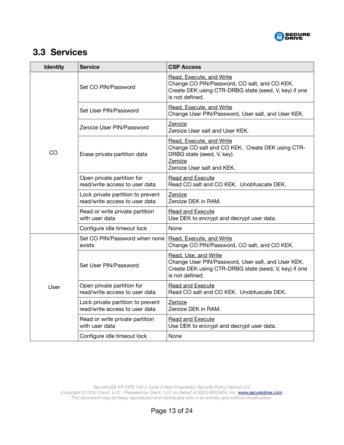

#### <span id="page-12-0"></span> **3.3 Services**

| <b>Identity</b> | <b>Service</b>                                                      | <b>CSP Access</b>                                                                                                                                      |  |
|-----------------|---------------------------------------------------------------------|--------------------------------------------------------------------------------------------------------------------------------------------------------|--|
|                 | Set CO PIN/Password                                                 | Read, Execute, and Write<br>Change CO PIN/Password, CO salt, and CO KEK.<br>Create DEK using CTR-DRBG state (seed, V, key) if one<br>is not defined.   |  |
|                 | Set User PIN/Password                                               | Read, Execute, and Write<br>Change User PIN/Password, User salt, and User KEK.                                                                         |  |
|                 | Zeroize User PIN/Password                                           | Zeroize<br>Zeroize User salt and User KEK.                                                                                                             |  |
| CO              | Erase private partition data                                        | Read, Execute, and Write<br>Change CO salt and CO KEK. Create DEK using CTR-<br>DRBG state (seed, V, key).<br>Zeroize<br>Zeroize User salt and KEK.    |  |
|                 | Open private partition for<br>read/write access to user data        | <b>Read and Execute</b><br>Read CO salt and CO KEK. Unobfuscate DEK.                                                                                   |  |
|                 | Lock private partition to prevent<br>read/write access to user data | Zeroize<br>Zeroize DEK in RAM.                                                                                                                         |  |
|                 | Read or write private partition<br>with user data                   | Read and Execute<br>Use DEK to encrypt and decrypt user data.                                                                                          |  |
|                 | Configure idle timeout lock                                         | None                                                                                                                                                   |  |
|                 | Set CO PIN/Password when none<br>exists                             | Read, Execute, and Write<br>Change CO PIN/Password, CO salt, and CO KEK.                                                                               |  |
|                 | Set User PIN/Password                                               | Read, Use, and Write<br>Change User PIN/Password, User salt, and User KEK.<br>Create DEK using CTR-DRBG state (seed, V, key) if one<br>is not defined. |  |
| User            | Open private partition for<br>read/write access to user data        | <b>Read and Execute</b><br>Read CO salt and CO KEK. Unobfuscate DEK.                                                                                   |  |
|                 | Lock private partition to prevent<br>read/write access to user data | Zeroize<br>Zeroize DEK in RAM.                                                                                                                         |  |
|                 | Read or write private partition<br>with user data                   | Read and Execute<br>Use DEK to encrypt and decrypt user data.                                                                                          |  |
|                 | Configure idle timeout lock                                         | None                                                                                                                                                   |  |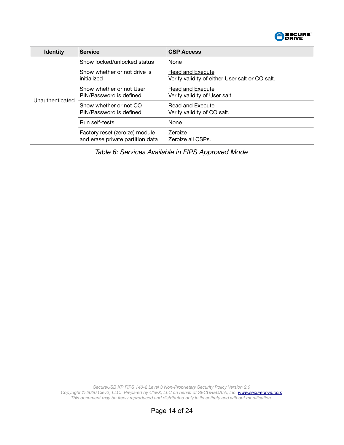

| <b>Identity</b><br><b>Service</b> |                                                                    | <b>CSP Access</b>                                                   |  |
|-----------------------------------|--------------------------------------------------------------------|---------------------------------------------------------------------|--|
|                                   | Show locked/unlocked status                                        | None                                                                |  |
|                                   | Show whether or not drive is<br>initialized                        | Read and Execute<br>Verify validity of either User salt or CO salt. |  |
| Unauthenticated                   | Show whether or not User<br>PIN/Password is defined                | Read and Execute<br>Verify validity of User salt.                   |  |
|                                   | Show whether or not CO<br>PIN/Password is defined                  | Read and Execute<br>Verify validity of CO salt.                     |  |
|                                   | Run self-tests                                                     | None                                                                |  |
|                                   | Factory reset (zeroize) module<br>and erase private partition data | Zeroize<br>Zeroize all CSPs.                                        |  |

*Table 6: Services Available in FIPS Approved Mode*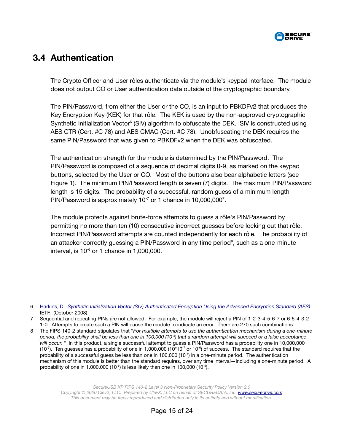

#### <span id="page-14-0"></span> **3.4 Authentication**

The Crypto Officer and User rôles authenticate via the module's keypad interface. The module does not output CO or User authentication data outside of the cryptographic boundary.

The PIN/Password, from either the User or the CO, is an input to PBKDFv2 that produces the Key Encryption Key (KEK) for that rôle. The KEK is used by the non-approved cryptographic Synthetic Initialization Vector<sup>[6](#page-14-1)</sup> (SIV) algorithm to obfuscate the DEK. SIV is constructed using AES CTR (Cert. #C 78) and AES CMAC (Cert. #C 78). Unobfuscating the DEK requires the same PIN/Password that was given to PBKDFv2 when the DEK was obfuscated.

The authentication strength for the module is determined by the PIN/Password. The PIN/Password is composed of a sequence of decimal digits 0-9, as marked on the keypad buttons, selected by the User or CO. Most of the buttons also bear alphabetic letters (see [Figure 1\)](#page-4-0). The minimum PIN/Password length is seven (7) digits. The maximum PIN/Password length is 15 digits. The probability of a successful, random guess of a minimum length PIN/Password is approximately  $10^{-7}$  $10^{-7}$  $10^{-7}$  or 1 chance in 10,000,000<sup>7</sup>.

The module protects against brute-force attempts to guess a rôle's PIN/Password by permitting no more than ten (10) consecutive incorrect guesses before locking out that rôle. Incorrect PIN/Password attempts are counted independently for each rôle. The probability of an attacker correctly guessing a PIN/Password in any time period<sup>[8](#page-14-3)</sup>, such as a one-minute interval, is  $10^{-6}$  or 1 chance in 1,000,000.

<span id="page-14-1"></span><sup>6</sup> [Harkins, D.](https://tools.ietf.org/html/rfc5297) *[Synthetic Initialization Vector \(SIV\) Authenticated Encryption Using the Advanced Encryption Standard \(AES\)](https://tools.ietf.org/html/rfc5297)*. IETF. (October 2008)

<span id="page-14-2"></span><sup>7</sup> Sequential and repeating PINs are not allowed. For example, the module will reject a PIN of 1-2-3-4-5-6-7 or 6-5-4-3-2- 1-0. Attempts to create such a PIN will cause the module to indicate an error. There are 270 such combinations.

<span id="page-14-3"></span><sup>8</sup> The FIPS 140-2 standard stipulates that "*For multiple attempts to use the authentication mechanism during a one-minute period, the probability shall be less than one in 100,000 (10-5) that a random attempt will succeed or a false acceptance will occur. "* In this product, a single successful attempt to guess a PIN/Password has a probability one in 10,000,000 (10 $^7$ ). Ten guesses has a probability of one in 1,000,000 (10 $*10^{-7}$  or 10 $^6$ ) of success. The standard requires that the probability of a successful guess be less than one in 100,000  $(10^{-5})$  in a one-minute period. The authentication mechanism of this module is better than the standard requires, over any time interval—including a one-minute period. A probability of one in 1,000,000 (10 $\textdegree{}$ ) is less likely than one in 100,000 (10 $\textdegree{}$ ).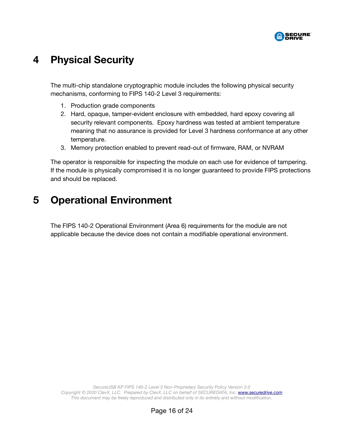

## <span id="page-15-3"></span> **4 Physical Security**

The multi-chip standalone cryptographic module includes the following physical security mechanisms, conforming to FIPS 140-2 Level 3 requirements:

- 1. Production grade components
- 2. Hard, opaque, tamper-evident enclosure with embedded, hard epoxy covering all security relevant components. Epoxy hardness was tested at ambient temperature meaning that no assurance is provided for Level 3 hardness conformance at any other temperature.
- 3. Memory protection enabled to prevent read-out of firmware, RAM, or NVRAM

The operator is responsible for inspecting the module on each use for evidence of tampering. If the module is physically compromised it is no longer guaranteed to provide FIPS protections and should be replaced.

## <span id="page-15-2"></span> **5 Operational Environment**

<span id="page-15-1"></span><span id="page-15-0"></span>The FIPS 140-2 Operational Environment (Area 6) requirements for the module are not applicable because the device does not contain a modifiable operational environment.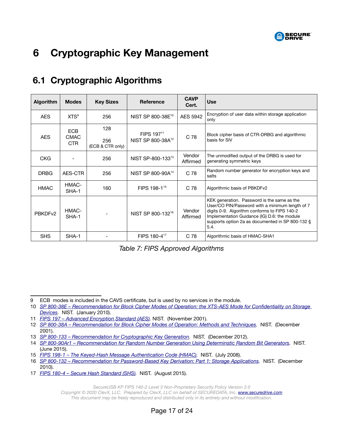

# **6 Cryptographic Key Management**

## **6.1 Cryptographic Algorithm[s](#page-16-0)**

| <b>Algorithm</b>    | <b>Modes</b>               | <b>Key Sizes</b>               | <b>Reference</b>                                        | <b>CAVP</b><br>Cert. | Use                                                                                                                                                                                                                                                        |
|---------------------|----------------------------|--------------------------------|---------------------------------------------------------|----------------------|------------------------------------------------------------------------------------------------------------------------------------------------------------------------------------------------------------------------------------------------------------|
| <b>AES</b>          | XTS <sup>9</sup>           | 256                            | NIST SP 800-38E <sup>10</sup>                           | AES 5942             | Encryption of user data within storage application<br>only                                                                                                                                                                                                 |
| <b>AES</b>          | ECB<br><b>CMAC</b><br>CTR. | 128<br>256<br>(ECB & CTR only) | FIPS 197 <sup>11</sup><br>NIST SP 800-38A <sup>12</sup> | C 78                 | Block cipher basis of CTR-DRBG and algorithmic<br>basis for SIV                                                                                                                                                                                            |
| <b>CKG</b>          |                            | 256                            | NIST SP-800-13313                                       | Vendor<br>Affirmed   | The unmodified output of the DRBG is used for<br>generating symmetric keys                                                                                                                                                                                 |
| <b>DRBG</b>         | AES-CTR                    | 256                            | NIST SP 800-90A <sup>14</sup>                           | C 78                 | Random number generator for encryption keys and<br>salts                                                                                                                                                                                                   |
| <b>HMAC</b>         | HMAC-<br>SHA-1             | 160                            | FIPS 198-1 <sup>15</sup>                                | C 78                 | Algorithmic basis of PBKDFv2                                                                                                                                                                                                                               |
| PBKDF <sub>v2</sub> | HMAC-<br>SHA-1             |                                | NIST SP 800-132 <sup>16</sup>                           | Vendor<br>Affirmed   | KEK generation. Password is the same as the<br>User/CO PIN/Password with a minimum length of 7<br>digits 0-9. Algorithm conforms to FIPS 140-2<br>Implementation Guidance (IG) D.6: the module<br>supports option 2a as documented in SP 800-132 §<br>5.4. |
| <b>SHS</b>          | SHA-1                      |                                | FIPS 180-4 <sup>17</sup>                                | C 78                 | Algorithmic basis of HMAC-SHA1                                                                                                                                                                                                                             |

*Table 7: FIPS Approved Algorithms*

<sup>9</sup> ECB modes is included in the CAVS certificate, but is used by no services in the module.

<sup>10</sup> *[SP 800-38E – Recommendation for Block Cipher Modes of Operation: the XTS-AES Mode for Confidentiality on Storage](https://csrc.nist.gov/publications/detail/sp/800-38e/final)*  **Devices. NIST. (January 2010).** 

<span id="page-16-0"></span><sup>11</sup> *[FIPS 197 – Advanced Encryption Standard \(AES\).](https://csrc.nist.gov/publications/detail/fips/197/final)* NIST. (November 2001).

<sup>12</sup> *[SP 800-38A – Recommendation for Block Cipher Modes of Operation: Methods and Techniques](https://csrc.nist.gov/publications/detail/sp/800-38a/final).* NIST. (December 2001).

<sup>13</sup> *[SP 800-133 – Recommendation for Cryptographic Key Generation.](https://csrc.nist.gov/publications/detail/sp/800-133/final)* NIST. (December 2012).

<sup>14</sup> *[SP 800-90Ar1 – Recommendation for Random Number Generation Using Determinstic Random Bit Generators](https://csrc.nist.gov/publications/detail/sp/800-90a/rev-1/final).* NIST. (June 2015).

<span id="page-16-1"></span><sup>15</sup> *[FIPS 198-1 – The Keyed-Hash Message Authentication Code \(HMAC\).](https://csrc.nist.gov/publications/detail/fips/198/1/final)* NIST. (July 2008).

<sup>16</sup> *[SP 800-132](https://csrc.nist.gov/publications/detail/sp/800-132/final) [–](https://csrc.nist.gov/publications/detail/sp/800-90a/rev-1/final) [Recommendation for Password-Based Key Derivation: Part 1: Storage Applications](https://csrc.nist.gov/publications/detail/sp/800-132/final).* NIST. (December 2010).

<span id="page-16-2"></span><sup>17</sup> *[FIPS 180-4 – Secure Hash Standard \(SHS\)](https://csrc.nist.gov/publications/detail/fips/180/4/final).* NIST. (August 2015).

*SecureUSB KP FIPS 140-2 Level 3 Non-Proprietary Security Policy Version 2.0*

*Copyright © 2020 ClevX, LLC. Prepared by ClevX, LLC on behalf of SECUREDATA, Inc. [www.securedrive.com](https://www.securedrive.com/) This document may be freely reproduced and distributed only in its entirety and without modification.*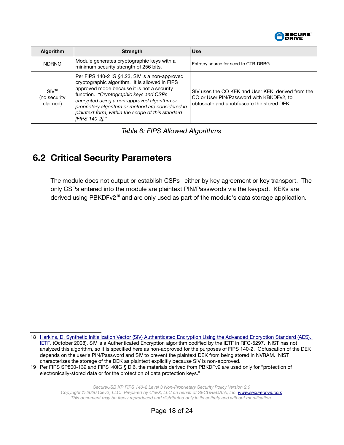

| <b>Algorithm</b>                              | <b>Strength</b>                                                                                                                                                                                                                                                                                                                                                     | <b>Use</b>                                                                                                                                  |
|-----------------------------------------------|---------------------------------------------------------------------------------------------------------------------------------------------------------------------------------------------------------------------------------------------------------------------------------------------------------------------------------------------------------------------|---------------------------------------------------------------------------------------------------------------------------------------------|
| <b>NDRNG</b>                                  | Module generates cryptographic keys with a<br>minimum security strength of 256 bits.                                                                                                                                                                                                                                                                                | Entropy source for seed to CTR-DRBG                                                                                                         |
| SIV <sup>18</sup><br>(no security<br>claimed) | Per FIPS 140-2 IG §1.23, SIV is a non-approved<br>cryptographic algorithm. It is allowed in FIPS<br>approved mode because it is not a security<br>function. "Cryptographic keys and CSPs<br>encrypted using a non-approved algorithm or<br>proprietary algorithm or method are considered in<br>plaintext form, within the scope of this standard<br>[FIPS 140-2]." | SIV uses the CO KEK and User KEK, derived from the<br>CO or User PIN/Password with KBKDFv2, to<br>obfuscate and unobfuscate the stored DEK. |

*Table 8: FIPS Allowed Algorithms*

#### <span id="page-17-0"></span> **6.2 Critical Security Parameters**

The module does not output or establish CSPs--either by key agreement or key transport. The only CSPs entered into the module are plaintext PIN/Passwords via the keypad. KEKs are derived using PBKDFv2<sup>[19](#page-17-2)</sup> and are only used as part of the module's data storage application.

<span id="page-17-1"></span><sup>18</sup> [Harkins, D. Synthetic Initialization Vector \(SIV\) Authenticated Encryption Using the Advanced Encryption Standard \(AES\).](https://tools.ietf.org/html/rfc5297)  IETE. (October 2008). SIV is a Authenticated Encryption algorithm codified by the [IETF](https://tools.ietf.org/html/rfc5297) in RFC-5297. NIST has not analyzed this algorithm, so it is specified here as non-approved for the purposes of FIPS 140-2. Obfuscation of the DEK depends on the user's PIN/Password and SIV to prevent the plaintext DEK from being stored in NVRAM. NIST characterizes the storage of the DEK as plaintext explicitly because SIV is non-approved.

<span id="page-17-2"></span><sup>19</sup> Per FIPS SP800-132 and FIPS140IG § D.6, the materials derived from PBKDFv2 are used only for "protection of electronically-stored data or for the protection of data protection keys."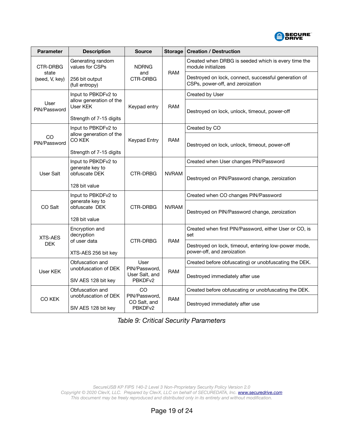

| <b>Parameter</b>                    | <b>Description</b>                                                                                    | <b>Source</b>                              | <b>Storage</b>                                | <b>Creation / Destruction</b>                                                            |
|-------------------------------------|-------------------------------------------------------------------------------------------------------|--------------------------------------------|-----------------------------------------------|------------------------------------------------------------------------------------------|
| CTR-DRBG<br>state<br>(seed, V, key) | Generating random<br>values for CSPs                                                                  | <b>NDRNG</b>                               |                                               | Created when DRBG is seeded which is every time the<br>module initializes                |
|                                     | 256 bit output<br>(full entropy)                                                                      | and<br>CTR-DRBG                            | <b>RAM</b>                                    | Destroyed on lock, connect, successful generation of<br>CSPs, power-off, and zeroization |
| User<br>PIN/Password                | Input to PBKDFv2 to<br>allow generation of the<br>User KEK<br>Keypad entry<br>Strength of 7-15 digits |                                            |                                               | Created by User                                                                          |
|                                     |                                                                                                       | <b>RAM</b>                                 | Destroyed on lock, unlock, timeout, power-off |                                                                                          |
| CO<br>PIN/Password                  | Input to PBKDFv2 to                                                                                   |                                            |                                               | Created by CO                                                                            |
|                                     | allow generation of the<br><b>CO KEK</b><br>Strength of 7-15 digits                                   | <b>Keypad Entry</b>                        | <b>RAM</b>                                    | Destroyed on lock, unlock, timeout, power-off                                            |
| User Salt                           | Input to PBKDFv2 to                                                                                   | CTR-DRBG                                   | <b>NVRAM</b>                                  | Created when User changes PIN/Password                                                   |
|                                     | generate key to<br>obfuscate DEK<br>128 bit value                                                     |                                            |                                               | Destroyed on PIN/Password change, zeroization                                            |
| CO Salt                             | Input to PBKDFv2 to                                                                                   |                                            | <b>NVRAM</b>                                  | Created when CO changes PIN/Password                                                     |
|                                     | generate key to<br>obfuscate DEK<br>128 bit value                                                     | <b>CTR-DRBG</b>                            |                                               | Destroyed on PIN/Password change, zeroization                                            |
| <b>XTS-AES</b><br><b>DEK</b>        | Encryption and<br>decryption                                                                          |                                            | <b>RAM</b>                                    | Created when first PIN/Password, either User or CO, is<br>set                            |
|                                     | of user data<br>XTS-AES 256 bit key                                                                   | CTR-DRBG                                   |                                               | Destroyed on lock, timeout, entering low-power mode,<br>power-off, and zeroization       |
| User KEK                            | Obfuscation and                                                                                       | User                                       |                                               | Created before obfuscating) or unobfuscating the DEK.                                    |
|                                     | unobfuscation of DEK<br>SIV AES 128 bit key                                                           | PIN/Password,<br>User Salt, and<br>PBKDFv2 | <b>RAM</b>                                    | Destroyed immediately after use                                                          |
| CO KEK                              | Obfuscation and                                                                                       | CO                                         | <b>RAM</b>                                    | Created before obfuscating or unobfuscating the DEK.                                     |
|                                     | unobfuscation of DEK<br>SIV AES 128 bit key                                                           | PIN/Password,<br>CO Salt, and<br>PBKDFv2   |                                               | Destroyed immediately after use                                                          |

*Table 9: Critical Security Parameters*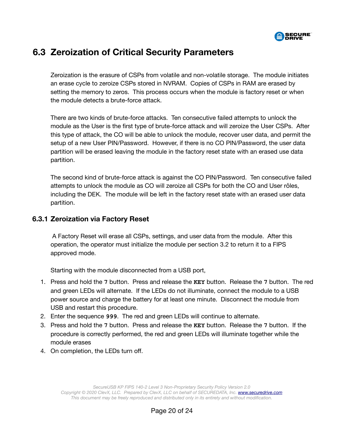

#### <span id="page-19-0"></span> **6.3 Zeroization of Critical Security Parameters**

Zeroization is the erasure of CSPs from volatile and non-volatile storage. The module initiates an erase cycle to zeroize CSPs stored in NVRAM. Copies of CSPs in RAM are erased by setting the memory to zeros. This process occurs when the module is factory reset or when the module detects a brute-force attack.

There are two kinds of brute-force attacks. Ten consecutive failed attempts to unlock the module as the User is the first type of brute-force attack and will zeroize the User CSPs. After this type of attack, the CO will be able to unlock the module, recover user data, and permit the setup of a new User PIN/Password. However, if there is no CO PIN/Password, the user data partition will be erased leaving the module in the factory reset state with an erased use data partition.

The second kind of brute-force attack is against the CO PIN/Password. Ten consecutive failed attempts to unlock the module as CO will zeroize all CSPs for both the CO and User rôles, including the DEK. The module will be left in the factory reset state with an erased user data partition.

#### **6.3.1 Zeroization via Factory Reset**

 A Factory Reset will erase all CSPs, settings, and user data from the module. After this operation, the operator must initialize the module per section [3.2](#page-11-0) to return it to a FIPS approved mode.

Starting with the module disconnected from a USB port,

- 1. Press and hold the **7** button. Press and release the **KEY** button. Release the **7** button. The red and green LEDs will alternate. If the LEDs do not illuminate, connect the module to a USB power source and charge the battery for at least one minute. Disconnect the module from USB and restart this procedure.
- 2. Enter the sequence **999**. The red and green LEDs will continue to alternate.
- 3. Press and hold the **7** button. Press and release the **KEY** button. Release the **7** button. If the procedure is correctly performed, the red and green LEDs will illuminate together while the module erases
- 4. On completion, the LEDs turn off.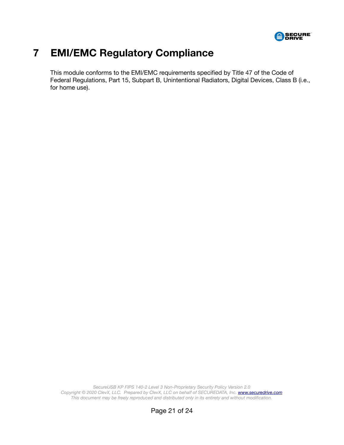

# <span id="page-20-0"></span> **7 EMI/EMC Regulatory Compliance**

This module conforms to the EMI/EMC requirements specified by Title 47 of the Code of Federal Regulations, Part 15, Subpart B, Unintentional Radiators, Digital Devices, Class B (i.e., for home use).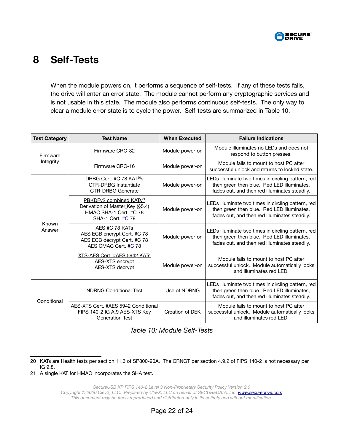

## <span id="page-21-0"></span> **8 Self-Tests**

When the module powers on, it performs a sequence of self-tests. If any of these tests fails, the drive will enter an error state. The module cannot perform any cryptographic services and is not usable in this state. The module also performs continuous self-tests. The only way to clear a module error state is to cycle the power. Self-tests are summarized in [Table 10](#page-21-1).

| <b>Test Category</b>  | <b>Test Name</b>                                                                                                      | <b>When Executed</b> | <b>Failure Indications</b>                                                                                                                        |
|-----------------------|-----------------------------------------------------------------------------------------------------------------------|----------------------|---------------------------------------------------------------------------------------------------------------------------------------------------|
| Firmware<br>Integrity | Firmware CRC-32                                                                                                       | Module power-on      | Module illuminates no LEDs and does not<br>respond to button presses.                                                                             |
|                       | Firmware CRC-16                                                                                                       | Module power-on      | Module fails to mount to host PC after<br>successful unlock and returns to locked state.                                                          |
| Known<br>Answer       | DRBG Cert. #C 78 KAT <sup>20</sup> s<br><b>CTR-DRBG</b> Instantiate<br><b>CTR-DRBG Generate</b>                       | Module power-on      | LEDs illuminate two times in circling pattern, red<br>then green then blue. Red LED illuminates,<br>fades out, and then red illuminates steadily. |
|                       | PBKDFv2 combined KATs <sup>21</sup><br>Derivation of Master Key (§5.4)<br>HMAC SHA-1 Cert. #C 78<br>SHA-1 Cert. #C 78 | Module power-on      | LEDs illuminate two times in circling pattern, red<br>then green then blue. Red LED illuminates,<br>fades out, and then red illuminates steadily. |
|                       | AES #C 78 KATs<br>AES ECB encrypt Cert. #C 78<br>AES ECB decrypt Cert. #C 78<br>AES CMAC Cert. #C 78                  | Module power-on      | LEDs illuminate two times in circling pattern, red<br>then green then blue. Red LED illuminates,<br>fades out, and then red illuminates steadily. |
|                       | XTS-AES Cert. #AES 5942 KATs<br>AES-XTS encrypt<br>AES-XTS decrypt                                                    | Module power-on      | Module fails to mount to host PC after<br>successful unlock. Module automatically locks<br>and illuminates red LED.                               |
| Conditional           | <b>NDRNG Conditional Test</b>                                                                                         | Use of NDRNG         | LEDs illuminate two times in circling pattern, red<br>then green then blue. Red LED illuminates,<br>fades out, and then red illuminates steadily. |
|                       | AES-XTS Cert. #AES 5942 Conditional<br>FIPS 140-2 IG A.9 AES-XTS Key<br><b>Generation Test</b>                        | Creation of DEK      | Module fails to mount to host PC after<br>successful unlock. Module automatically locks<br>and illuminates red LED.                               |

<span id="page-21-1"></span>*Table 10: Module Self-Tests*

<span id="page-21-2"></span><sup>20</sup> KATs are Health tests per section 11.3 of SP800-90A. The CRNGT per section 4.9.2 of FIPS 140-2 is not necessary per IG 9.8.

<span id="page-21-3"></span><sup>21</sup> A single KAT for HMAC incorporates the SHA test.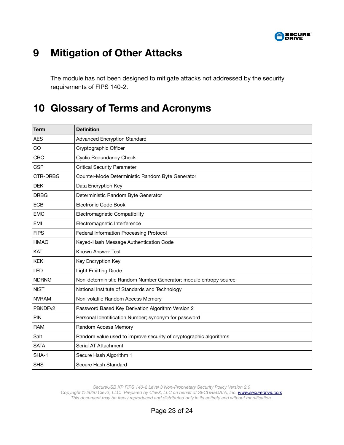

# <span id="page-22-0"></span> **9 Mitigation of Other Attacks**

The module has not been designed to mitigate attacks not addressed by the security requirements of FIPS 140-2.

## <span id="page-22-1"></span> **10 Glossary of Terms and Acronyms**

| <b>Term</b>  | <b>Definition</b>                                                 |  |  |
|--------------|-------------------------------------------------------------------|--|--|
| <b>AES</b>   | <b>Advanced Encryption Standard</b>                               |  |  |
| CO           | Cryptographic Officer                                             |  |  |
| CRC          | <b>Cyclic Redundancy Check</b>                                    |  |  |
| <b>CSP</b>   | <b>Critical Security Parameter</b>                                |  |  |
| CTR-DRBG     | Counter-Mode Deterministic Random Byte Generator                  |  |  |
| <b>DEK</b>   | Data Encryption Key                                               |  |  |
| <b>DRBG</b>  | Deterministic Random Byte Generator                               |  |  |
| <b>ECB</b>   | Electronic Code Book                                              |  |  |
| <b>EMC</b>   | Electromagnetic Compatibility                                     |  |  |
| <b>EMI</b>   | Electromagnetic Interference                                      |  |  |
| <b>FIPS</b>  | Federal Information Processing Protocol                           |  |  |
| <b>HMAC</b>  | Keyed-Hash Message Authentication Code                            |  |  |
| KAT          | Known Answer Test                                                 |  |  |
| <b>KEK</b>   | Key Encryption Key                                                |  |  |
| LED          | <b>Light Emitting Diode</b>                                       |  |  |
| <b>NDRNG</b> | Non-deterministic Random Number Generator; module entropy source  |  |  |
| <b>NIST</b>  | National Institute of Standards and Technology                    |  |  |
| <b>NVRAM</b> | Non-volatile Random Access Memory                                 |  |  |
| PBKDFv2      | Password Based Key Derivation Algorithm Version 2                 |  |  |
| PIN          | Personal Identification Number; synonym for password              |  |  |
| <b>RAM</b>   | Random Access Memory                                              |  |  |
| Salt         | Random value used to improve security of cryptographic algorithms |  |  |
| <b>SATA</b>  | Serial AT Attachment                                              |  |  |
| SHA-1        | Secure Hash Algorithm 1                                           |  |  |
| <b>SHS</b>   | Secure Hash Standard                                              |  |  |

*SecureUSB KP FIPS 140-2 Level 3 Non-Proprietary Security Policy Version 2.0 Copyright © 2020 ClevX, LLC. Prepared by ClevX, LLC on behalf of SECUREDATA, Inc. [www.securedrive.com](https://www.securedrive.com/) This document may be freely reproduced and distributed only in its entirety and without modification.*